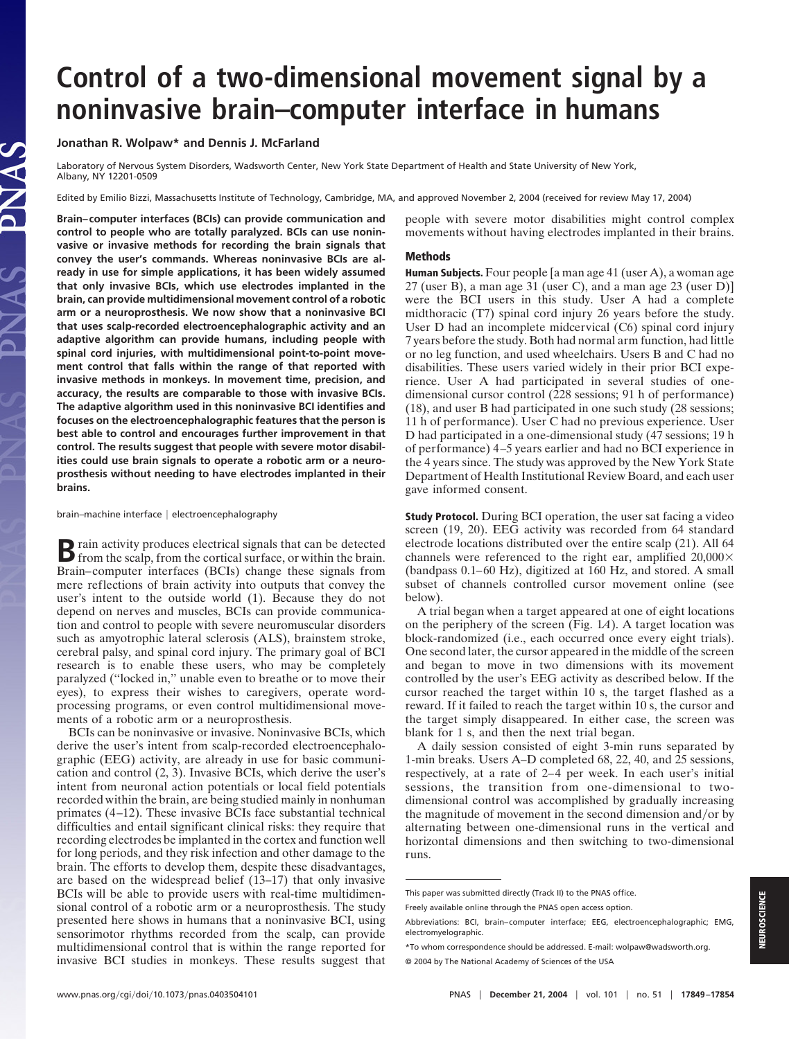# **Control of a two-dimensional movement signal by a noninvasive brain–computer interface in humans**

## **Jonathan R. Wolpaw\* and Dennis J. McFarland**

Laboratory of Nervous System Disorders, Wadsworth Center, New York State Department of Health and State University of New York, Albany, NY 12201-0509

Edited by Emilio Bizzi, Massachusetts Institute of Technology, Cambridge, MA, and approved November 2, 2004 (received for review May 17, 2004)

**Brain–computer interfaces (BCIs) can provide communication and control to people who are totally paralyzed. BCIs can use noninvasive or invasive methods for recording the brain signals that convey the user's commands. Whereas noninvasive BCIs are already in use for simple applications, it has been widely assumed that only invasive BCIs, which use electrodes implanted in the brain, can provide multidimensional movement control of a robotic arm or a neuroprosthesis. We now show that a noninvasive BCI that uses scalp-recorded electroencephalographic activity and an adaptive algorithm can provide humans, including people with spinal cord injuries, with multidimensional point-to-point movement control that falls within the range of that reported with invasive methods in monkeys. In movement time, precision, and accuracy, the results are comparable to those with invasive BCIs. The adaptive algorithm used in this noninvasive BCI identifies and focuses on the electroencephalographic features that the person is best able to control and encourages further improvement in that control. The results suggest that people with severe motor disabilities could use brain signals to operate a robotic arm or a neuroprosthesis without needing to have electrodes implanted in their brains.**

 $brain$ –machine interface  $|$  electroencephalography

**B** rain activity produces electrical signals that can be detected from the scalp, from the cortical surface, or within the brain. Brain–computer interfaces (BCIs) change these signals from mere reflections of brain activity into outputs that convey the user's intent to the outside world (1). Because they do not depend on nerves and muscles, BCIs can provide communication and control to people with severe neuromuscular disorders such as amyotrophic lateral sclerosis (ALS), brainstem stroke, cerebral palsy, and spinal cord injury. The primary goal of BCI research is to enable these users, who may be completely paralyzed (''locked in,'' unable even to breathe or to move their eyes), to express their wishes to caregivers, operate wordprocessing programs, or even control multidimensional movements of a robotic arm or a neuroprosthesis.

BCIs can be noninvasive or invasive. Noninvasive BCIs, which derive the user's intent from scalp-recorded electroencephalographic (EEG) activity, are already in use for basic communication and control (2, 3). Invasive BCIs, which derive the user's intent from neuronal action potentials or local field potentials recorded within the brain, are being studied mainly in nonhuman primates (4–12). These invasive BCIs face substantial technical difficulties and entail significant clinical risks: they require that recording electrodes be implanted in the cortex and function well for long periods, and they risk infection and other damage to the brain. The efforts to develop them, despite these disadvantages, are based on the widespread belief (13–17) that only invasive BCIs will be able to provide users with real-time multidimensional control of a robotic arm or a neuroprosthesis. The study presented here shows in humans that a noninvasive BCI, using sensorimotor rhythms recorded from the scalp, can provide multidimensional control that is within the range reported for invasive BCI studies in monkeys. These results suggest that people with severe motor disabilities might control complex movements without having electrodes implanted in their brains.

## **Methods**

**Human Subjects.** Four people [a man age 41 (user A), a woman age 27 (user B), a man age 31 (user C), and a man age 23 (user D)] were the BCI users in this study. User A had a complete midthoracic (T7) spinal cord injury 26 years before the study. User D had an incomplete midcervical (C6) spinal cord injury 7 years before the study. Both had normal arm function, had little or no leg function, and used wheelchairs. Users B and C had no disabilities. These users varied widely in their prior BCI experience. User A had participated in several studies of onedimensional cursor control (228 sessions; 91 h of performance) (18), and user B had participated in one such study (28 sessions; 11 h of performance). User C had no previous experience. User D had participated in a one-dimensional study (47 sessions; 19 h of performance) 4–5 years earlier and had no BCI experience in the 4 years since. The study was approved by the New York State Department of Health Institutional Review Board, and each user gave informed consent.

**Study Protocol.** During BCI operation, the user sat facing a video screen (19, 20). EEG activity was recorded from 64 standard electrode locations distributed over the entire scalp (21). All 64 channels were referenced to the right ear, amplified  $20,000 \times$ (bandpass 0.1–60 Hz), digitized at 160 Hz, and stored. A small subset of channels controlled cursor movement online (see below).

A trial began when a target appeared at one of eight locations on the periphery of the screen (Fig. 1*A*). A target location was block-randomized (i.e., each occurred once every eight trials). One second later, the cursor appeared in the middle of the screen and began to move in two dimensions with its movement controlled by the user's EEG activity as described below. If the cursor reached the target within 10 s, the target flashed as a reward. If it failed to reach the target within 10 s, the cursor and the target simply disappeared. In either case, the screen was blank for 1 s, and then the next trial began.

A daily session consisted of eight 3-min runs separated by 1-min breaks. Users A–D completed 68, 22, 40, and 25 sessions, respectively, at a rate of 2–4 per week. In each user's initial sessions, the transition from one-dimensional to twodimensional control was accomplished by gradually increasing the magnitude of movement in the second dimension and/or by alternating between one-dimensional runs in the vertical and horizontal dimensions and then switching to two-dimensional runs.

This paper was submitted directly (Track II) to the PNAS office.

Freely available online through the PNAS open access option.

Abbreviations: BCI, brain–computer interface; EEG, electroencephalographic; EMG, electromyelographic.

<sup>\*</sup>To whom correspondence should be addressed. E-mail: wolpaw@wadsworth.org. © 2004 by The National Academy of Sciences of the USA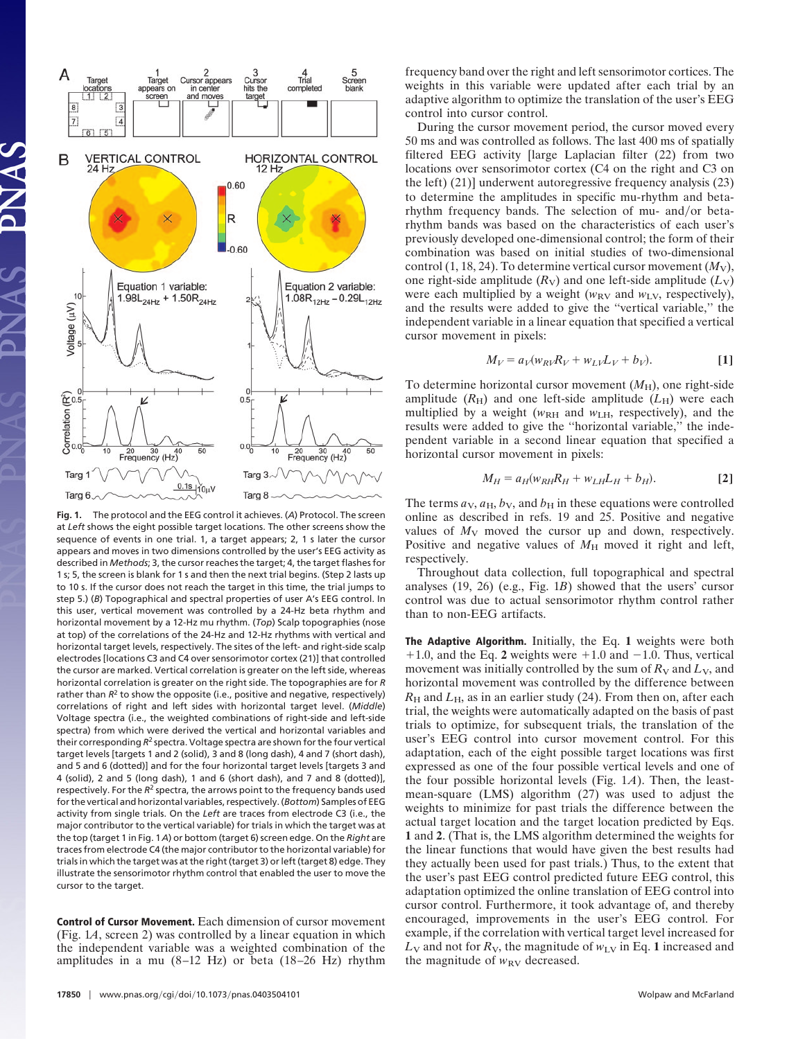

**Fig. 1.** The protocol and the EEG control it achieves. (*A*) Protocol. The screen at *Left* shows the eight possible target locations. The other screens show the sequence of events in one trial. 1, a target appears; 2, 1 s later the cursor appears and moves in two dimensions controlled by the user's EEG activity as described in *Methods*; 3, the cursor reaches the target; 4, the target flashes for 1 s; 5, the screen is blank for 1 s and then the next trial begins. (Step 2 lasts up to 10 s. If the cursor does not reach the target in this time, the trial jumps to step 5.) (*B*) Topographical and spectral properties of user A's EEG control. In this user, vertical movement was controlled by a 24-Hz beta rhythm and horizontal movement by a 12-Hz mu rhythm. (*Top*) Scalp topographies (nose at top) of the correlations of the 24-Hz and 12-Hz rhythms with vertical and horizontal target levels, respectively. The sites of the left- and right-side scalp electrodes [locations C3 and C4 over sensorimotor cortex (21)] that controlled the cursor are marked. Vertical correlation is greater on the left side, whereas horizontal correlation is greater on the right side. The topographies are for *R* rather than  $R^2$  to show the opposite (i.e., positive and negative, respectively) correlations of right and left sides with horizontal target level. (*Middle*) Voltage spectra (i.e., the weighted combinations of right-side and left-side spectra) from which were derived the vertical and horizontal variables and their corresponding *R*<sup>2</sup> spectra. Voltage spectra are shown for the four vertical target levels [targets 1 and 2 (solid), 3 and 8 (long dash), 4 and 7 (short dash), and 5 and 6 (dotted)] and for the four horizontal target levels [targets 3 and 4 (solid), 2 and 5 (long dash), 1 and 6 (short dash), and 7 and 8 (dotted)], respectively. For the  $R^2$  spectra, the arrows point to the frequency bands used for the vertical and horizontal variables, respectively. (*Bottom*) Samples of EEG activity from single trials. On the *Left* are traces from electrode C3 (i.e., the major contributor to the vertical variable) for trials in which the target was at the top (target 1 in Fig. 1*A*) or bottom (target 6) screen edge. On the *Right* are traces from electrode C4 (the major contributor to the horizontal variable) for trials in which the target was at the right (target 3) or left (target 8) edge. They illustrate the sensorimotor rhythm control that enabled the user to move the cursor to the target.

**Control of Cursor Movement.** Each dimension of cursor movement (Fig. 1*A*, screen 2) was controlled by a linear equation in which the independent variable was a weighted combination of the amplitudes in a mu  $(8-12 \text{ Hz})$  or beta  $(18-26 \text{ Hz})$  rhythm frequency band over the right and left sensorimotor cortices. The weights in this variable were updated after each trial by an adaptive algorithm to optimize the translation of the user's EEG control into cursor control.

During the cursor movement period, the cursor moved every 50 ms and was controlled as follows. The last 400 ms of spatially filtered EEG activity [large Laplacian filter (22) from two locations over sensorimotor cortex (C4 on the right and C3 on the left) (21)] underwent autoregressive frequency analysis (23) to determine the amplitudes in specific mu-rhythm and betarhythm frequency bands. The selection of mu- and/or betarhythm bands was based on the characteristics of each user's previously developed one-dimensional control; the form of their combination was based on initial studies of two-dimensional control  $(1, 18, 24)$ . To determine vertical cursor movement  $(M_V)$ , one right-side amplitude  $(R_V)$  and one left-side amplitude  $(L_V)$ were each multiplied by a weight ( $w_{\text{RV}}$  and  $w_{\text{LV}}$ , respectively), and the results were added to give the ''vertical variable,'' the independent variable in a linear equation that specified a vertical cursor movement in pixels:

$$
M_V = a_V (w_{RV} R_V + w_{LV} L_V + b_V).
$$
 [1]

To determine horizontal cursor movement  $(M<sub>H</sub>)$ , one right-side amplitude  $(R<sub>H</sub>)$  and one left-side amplitude  $(L<sub>H</sub>)$  were each multiplied by a weight ( $w_{RH}$  and  $w_{LH}$ , respectively), and the results were added to give the ''horizontal variable,'' the independent variable in a second linear equation that specified a horizontal cursor movement in pixels:

$$
M_H = a_H(w_{RH}R_H + w_{LH}L_H + b_H).
$$
 [2]

The terms  $a_V$ ,  $a_H$ ,  $b_V$ , and  $b_H$  in these equations were controlled online as described in refs. 19 and 25. Positive and negative values of  $M_V$  moved the cursor up and down, respectively. Positive and negative values of  $M_H$  moved it right and left, respectively.

Throughout data collection, full topographical and spectral analyses (19, 26) (e.g., Fig. 1*B*) showed that the users' cursor control was due to actual sensorimotor rhythm control rather than to non-EEG artifacts.

**The Adaptive Algorithm.** Initially, the Eq. **1** weights were both  $+1.0$ , and the Eq. 2 weights were  $+1.0$  and  $-1.0$ . Thus, vertical movement was initially controlled by the sum of  $R_V$  and  $L_V$ , and horizontal movement was controlled by the difference between  $R<sub>H</sub>$  and  $L<sub>H</sub>$ , as in an earlier study (24). From then on, after each trial, the weights were automatically adapted on the basis of past trials to optimize, for subsequent trials, the translation of the user's EEG control into cursor movement control. For this adaptation, each of the eight possible target locations was first expressed as one of the four possible vertical levels and one of the four possible horizontal levels (Fig. 1*A*). Then, the leastmean-square (LMS) algorithm (27) was used to adjust the weights to minimize for past trials the difference between the actual target location and the target location predicted by Eqs. **1** and **2**. (That is, the LMS algorithm determined the weights for the linear functions that would have given the best results had they actually been used for past trials.) Thus, to the extent that the user's past EEG control predicted future EEG control, this adaptation optimized the online translation of EEG control into cursor control. Furthermore, it took advantage of, and thereby encouraged, improvements in the user's EEG control. For example, if the correlation with vertical target level increased for  $L_V$  and not for  $R_V$ , the magnitude of  $w_{LV}$  in Eq. 1 increased and the magnitude of  $w_{\text{RV}}$  decreased.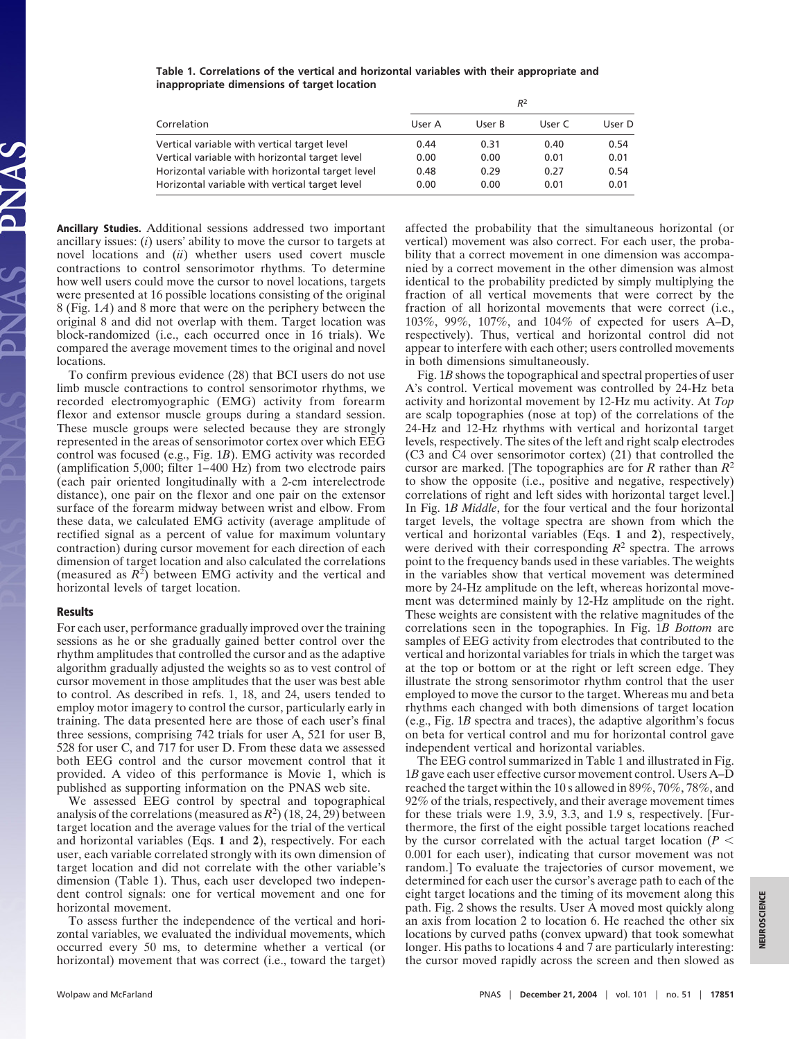**Table 1. Correlations of the vertical and horizontal variables with their appropriate and inappropriate dimensions of target location**

| Correlation                                      | $R^2$  |        |        |        |
|--------------------------------------------------|--------|--------|--------|--------|
|                                                  | User A | User B | User C | User D |
| Vertical variable with vertical target level     | 0.44   | 0.31   | 0.40   | 0.54   |
| Vertical variable with horizontal target level   | 0.00   | 0.00   | 0.01   | 0.01   |
| Horizontal variable with horizontal target level | 0.48   | 0.29   | 0.27   | 0.54   |
| Horizontal variable with vertical target level   | 0.00   | 0.00   | 0.01   | 0.01   |

**Ancillary Studies.** Additional sessions addressed two important ancillary issues: (*i*) users' ability to move the cursor to targets at novel locations and (*ii*) whether users used covert muscle contractions to control sensorimotor rhythms. To determine how well users could move the cursor to novel locations, targets were presented at 16 possible locations consisting of the original 8 (Fig. 1*A*) and 8 more that were on the periphery between the original 8 and did not overlap with them. Target location was block-randomized (i.e., each occurred once in 16 trials). We compared the average movement times to the original and novel locations.

To confirm previous evidence (28) that BCI users do not use limb muscle contractions to control sensorimotor rhythms, we recorded electromyographic (EMG) activity from forearm flexor and extensor muscle groups during a standard session. These muscle groups were selected because they are strongly represented in the areas of sensorimotor cortex over which EEG control was focused (e.g., Fig. 1*B*). EMG activity was recorded (amplification 5,000; filter 1–400 Hz) from two electrode pairs (each pair oriented longitudinally with a 2-cm interelectrode distance), one pair on the flexor and one pair on the extensor surface of the forearm midway between wrist and elbow. From these data, we calculated EMG activity (average amplitude of rectified signal as a percent of value for maximum voluntary contraction) during cursor movement for each direction of each dimension of target location and also calculated the correlations (measured as  $R^2$ ) between EMG activity and the vertical and horizontal levels of target location.

#### **Results**

For each user, performance gradually improved over the training sessions as he or she gradually gained better control over the rhythm amplitudes that controlled the cursor and as the adaptive algorithm gradually adjusted the weights so as to vest control of cursor movement in those amplitudes that the user was best able to control. As described in refs. 1, 18, and 24, users tended to employ motor imagery to control the cursor, particularly early in training. The data presented here are those of each user's final three sessions, comprising 742 trials for user A, 521 for user B, 528 for user C, and 717 for user D. From these data we assessed both EEG control and the cursor movement control that it provided. A video of this performance is Movie 1, which is published as supporting information on the PNAS web site.

We assessed EEG control by spectral and topographical analysis of the correlations (measured as  $R^2$ ) (18, 24, 29) between target location and the average values for the trial of the vertical and horizontal variables (Eqs. **1** and **2**), respectively. For each user, each variable correlated strongly with its own dimension of target location and did not correlate with the other variable's dimension (Table 1). Thus, each user developed two independent control signals: one for vertical movement and one for horizontal movement.

To assess further the independence of the vertical and horizontal variables, we evaluated the individual movements, which occurred every 50 ms, to determine whether a vertical (or horizontal) movement that was correct (i.e., toward the target)

affected the probability that the simultaneous horizontal (or vertical) movement was also correct. For each user, the probability that a correct movement in one dimension was accompanied by a correct movement in the other dimension was almost identical to the probability predicted by simply multiplying the fraction of all vertical movements that were correct by the fraction of all horizontal movements that were correct (i.e., 103%, 99%, 107%, and 104% of expected for users A–D, respectively). Thus, vertical and horizontal control did not appear to interfere with each other; users controlled movements in both dimensions simultaneously.

Fig. 1*B* shows the topographical and spectral properties of user A's control. Vertical movement was controlled by 24-Hz beta activity and horizontal movement by 12-Hz mu activity. At *Top* are scalp topographies (nose at top) of the correlations of the 24-Hz and 12-Hz rhythms with vertical and horizontal target levels, respectively. The sites of the left and right scalp electrodes (C3 and C4 over sensorimotor cortex) (21) that controlled the cursor are marked. [The topographies are for *R* rather than *R*<sup>2</sup> to show the opposite (i.e., positive and negative, respectively) correlations of right and left sides with horizontal target level.] In Fig. 1*B Middle*, for the four vertical and the four horizontal target levels, the voltage spectra are shown from which the vertical and horizontal variables (Eqs. **1** and **2**), respectively, were derived with their corresponding  $R^2$  spectra. The arrows point to the frequency bands used in these variables. The weights in the variables show that vertical movement was determined more by 24-Hz amplitude on the left, whereas horizontal movement was determined mainly by 12-Hz amplitude on the right. These weights are consistent with the relative magnitudes of the correlations seen in the topographies. In Fig. 1*B Bottom* are samples of EEG activity from electrodes that contributed to the vertical and horizontal variables for trials in which the target was at the top or bottom or at the right or left screen edge. They illustrate the strong sensorimotor rhythm control that the user employed to move the cursor to the target. Whereas mu and beta rhythms each changed with both dimensions of target location (e.g., Fig. 1*B* spectra and traces), the adaptive algorithm's focus on beta for vertical control and mu for horizontal control gave independent vertical and horizontal variables.

The EEG control summarized in Table 1 and illustrated in Fig. 1*B* gave each user effective cursor movement control. Users A–D reached the target within the 10 s allowed in 89%, 70%, 78%, and 92% of the trials, respectively, and their average movement times for these trials were 1.9, 3.9, 3.3, and 1.9 s, respectively. [Furthermore, the first of the eight possible target locations reached by the cursor correlated with the actual target location  $(P \leq$ 0.001 for each user), indicating that cursor movement was not random.] To evaluate the trajectories of cursor movement, we determined for each user the cursor's average path to each of the eight target locations and the timing of its movement along this path. Fig. 2 shows the results. User A moved most quickly along an axis from location 2 to location 6. He reached the other six locations by curved paths (convex upward) that took somewhat longer. His paths to locations 4 and 7 are particularly interesting: the cursor moved rapidly across the screen and then slowed as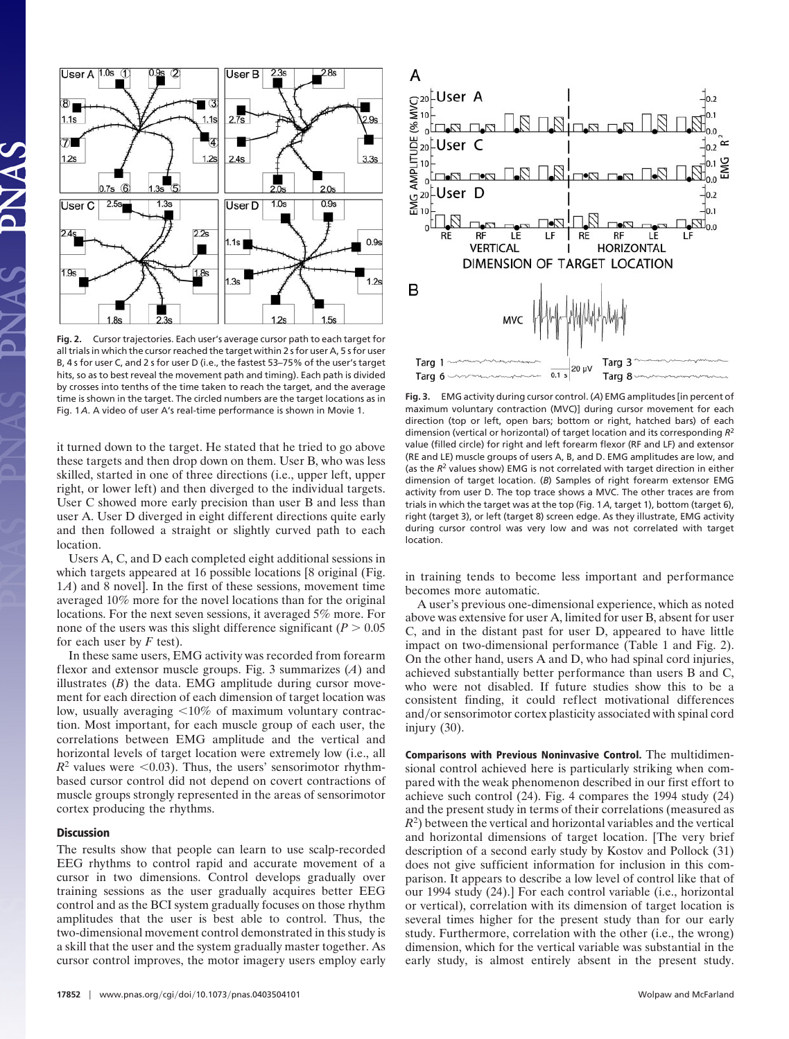

**Fig. 2.** Cursor trajectories. Each user's average cursor path to each target for all trials in which the cursor reached the target within 2 s for user A, 5 s for user B, 4 s for user C, and 2 s for user D (i.e., the fastest 53–75% of the user's target hits, so as to best reveal the movement path and timing). Each path is divided by crosses into tenths of the time taken to reach the target, and the average time is shown in the target. The circled numbers are the target locations as in Fig. 1*A*. A video of user A's real-time performance is shown in Movie 1.

it turned down to the target. He stated that he tried to go above these targets and then drop down on them. User B, who was less skilled, started in one of three directions (i.e., upper left, upper right, or lower left) and then diverged to the individual targets. User C showed more early precision than user B and less than user A. User D diverged in eight different directions quite early and then followed a straight or slightly curved path to each location.

Users A, C, and D each completed eight additional sessions in which targets appeared at 16 possible locations [8 original (Fig. 1*A*) and 8 novel]. In the first of these sessions, movement time averaged 10% more for the novel locations than for the original locations. For the next seven sessions, it averaged 5% more. For none of the users was this slight difference significant ( $P > 0.05$ ) for each user by *F* test).

In these same users, EMG activity was recorded from forearm flexor and extensor muscle groups. Fig. 3 summarizes (*A*) and illustrates  $(B)$  the data. EMG amplitude during cursor movement for each direction of each dimension of target location was low, usually averaging  $\langle 10\%$  of maximum voluntary contraction. Most important, for each muscle group of each user, the correlations between EMG amplitude and the vertical and horizontal levels of target location were extremely low (i.e., all  $R^2$  values were  $\leq 0.03$ ). Thus, the users' sensorimotor rhythmbased cursor control did not depend on covert contractions of muscle groups strongly represented in the areas of sensorimotor cortex producing the rhythms.

### **Discussion**

The results show that people can learn to use scalp-recorded EEG rhythms to control rapid and accurate movement of a cursor in two dimensions. Control develops gradually over training sessions as the user gradually acquires better EEG control and as the BCI system gradually focuses on those rhythm amplitudes that the user is best able to control. Thus, the two-dimensional movement control demonstrated in this study is a skill that the user and the system gradually master together. As cursor control improves, the motor imagery users employ early



**Fig. 3.** EMG activity during cursor control. (*A*) EMG amplitudes [in percent of maximum voluntary contraction (MVC)] during cursor movement for each direction (top or left, open bars; bottom or right, hatched bars) of each dimension (vertical or horizontal) of target location and its corresponding *R*<sup>2</sup> value (filled circle) for right and left forearm flexor (RF and LF) and extensor (RE and LE) muscle groups of users A, B, and D. EMG amplitudes are low, and (as the *R*<sup>2</sup> values show) EMG is not correlated with target direction in either dimension of target location. (*B*) Samples of right forearm extensor EMG activity from user D. The top trace shows a MVC. The other traces are from trials in which the target was at the top (Fig. 1*A*, target 1), bottom (target 6), right (target 3), or left (target 8) screen edge. As they illustrate, EMG activity during cursor control was very low and was not correlated with target location.

in training tends to become less important and performance becomes more automatic.

A user's previous one-dimensional experience, which as noted above was extensive for user A, limited for user B, absent for user C, and in the distant past for user D, appeared to have little impact on two-dimensional performance (Table 1 and Fig. 2). On the other hand, users A and D, who had spinal cord injuries, achieved substantially better performance than users B and C, who were not disabled. If future studies show this to be a consistent finding, it could reflect motivational differences and/or sensorimotor cortex plasticity associated with spinal cord injury (30).

**Comparisons with Previous Noninvasive Control.** The multidimensional control achieved here is particularly striking when compared with the weak phenomenon described in our first effort to achieve such control (24). Fig. 4 compares the 1994 study (24) and the present study in terms of their correlations (measured as *R*2) between the vertical and horizontal variables and the vertical and horizontal dimensions of target location. [The very brief description of a second early study by Kostov and Pollock (31) does not give sufficient information for inclusion in this comparison. It appears to describe a low level of control like that of our 1994 study (24).] For each control variable (i.e., horizontal or vertical), correlation with its dimension of target location is several times higher for the present study than for our early study. Furthermore, correlation with the other (i.e., the wrong) dimension, which for the vertical variable was substantial in the early study, is almost entirely absent in the present study.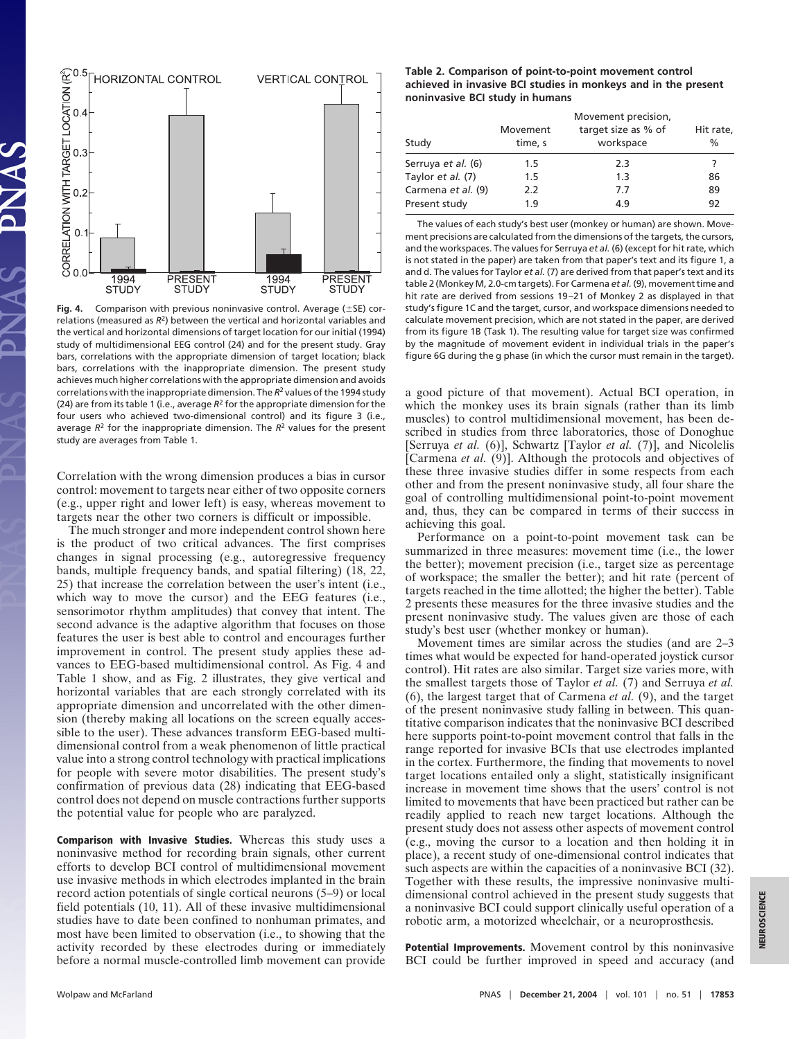

**Fig. 4.** Comparison with previous noninvasive control. Average  $(\pm$ SE) correlations (measured as *R*2) between the vertical and horizontal variables and the vertical and horizontal dimensions of target location for our initial (1994) study of multidimensional EEG control (24) and for the present study. Gray bars, correlations with the appropriate dimension of target location; black bars, correlations with the inappropriate dimension. The present study achieves much higher correlations with the appropriate dimension and avoids correlations with the inappropriate dimension. The *R*<sup>2</sup> values of the 1994 study (24) are from its table 1 (i.e., average *R*<sup>2</sup> for the appropriate dimension for the four users who achieved two-dimensional control) and its figure 3 (i.e., average *R*<sup>2</sup> for the inappropriate dimension. The *R*<sup>2</sup> values for the present study are averages from Table 1.

Correlation with the wrong dimension produces a bias in cursor control: movement to targets near either of two opposite corners (e.g., upper right and lower left) is easy, whereas movement to targets near the other two corners is difficult or impossible.

The much stronger and more independent control shown here is the product of two critical advances. The first comprises changes in signal processing (e.g., autoregressive frequency bands, multiple frequency bands, and spatial filtering) (18, 22, 25) that increase the correlation between the user's intent (i.e., which way to move the cursor) and the EEG features (i.e., sensorimotor rhythm amplitudes) that convey that intent. The second advance is the adaptive algorithm that focuses on those features the user is best able to control and encourages further improvement in control. The present study applies these advances to EEG-based multidimensional control. As Fig. 4 and Table 1 show, and as Fig. 2 illustrates, they give vertical and horizontal variables that are each strongly correlated with its appropriate dimension and uncorrelated with the other dimension (thereby making all locations on the screen equally accessible to the user). These advances transform EEG-based multidimensional control from a weak phenomenon of little practical value into a strong control technology with practical implications for people with severe motor disabilities. The present study's confirmation of previous data (28) indicating that EEG-based control does not depend on muscle contractions further supports the potential value for people who are paralyzed.

**Comparison with Invasive Studies.** Whereas this study uses a noninvasive method for recording brain signals, other current efforts to develop BCI control of multidimensional movement use invasive methods in which electrodes implanted in the brain record action potentials of single cortical neurons (5–9) or local field potentials (10, 11). All of these invasive multidimensional studies have to date been confined to nonhuman primates, and most have been limited to observation (i.e., to showing that the activity recorded by these electrodes during or immediately before a normal muscle-controlled limb movement can provide

**Table 2. Comparison of point-to-point movement control achieved in invasive BCI studies in monkeys and in the present noninvasive BCI study in humans**

| Study                               | Movement<br>time, s | Movement precision,<br>target size as % of<br>workspace | Hit rate,<br>$\%$ |  |
|-------------------------------------|---------------------|---------------------------------------------------------|-------------------|--|
| Serruya et al. (6)                  | 1.5                 | 2.3                                                     | ?                 |  |
| Taylor et al. (7)                   | 1.5                 | 1.3                                                     | 86                |  |
| Carmena et al. (9)<br>Present study | 2.2<br>1.9          | 7.7<br>4.9                                              | 89<br>92          |  |

The values of each study's best user (monkey or human) are shown. Movement precisions are calculated from the dimensions of the targets, the cursors, and the workspaces. The values for Serruya *et al.* (6) (except for hit rate, which is not stated in the paper) are taken from that paper's text and its figure 1, a and d. The values for Taylor *et al.* (7) are derived from that paper's text and its table 2 (Monkey M, 2.0-cm targets). For Carmena *et al.*(9), movement time and hit rate are derived from sessions 19–21 of Monkey 2 as displayed in that study's figure 1C and the target, cursor, and workspace dimensions needed to calculate movement precision, which are not stated in the paper, are derived from its figure 1B (Task 1). The resulting value for target size was confirmed by the magnitude of movement evident in individual trials in the paper's figure 6G during the g phase (in which the cursor must remain in the target).

a good picture of that movement). Actual BCI operation, in which the monkey uses its brain signals (rather than its limb muscles) to control multidimensional movement, has been described in studies from three laboratories, those of Donoghue [Serruya *et al.* (6)], Schwartz [Taylor *et al.* (7)], and Nicolelis [Carmena *et al.* (9)]. Although the protocols and objectives of these three invasive studies differ in some respects from each other and from the present noninvasive study, all four share the goal of controlling multidimensional point-to-point movement and, thus, they can be compared in terms of their success in achieving this goal.

Performance on a point-to-point movement task can be summarized in three measures: movement time (i.e., the lower the better); movement precision (i.e., target size as percentage of workspace; the smaller the better); and hit rate (percent of targets reached in the time allotted; the higher the better). Table 2 presents these measures for the three invasive studies and the present noninvasive study. The values given are those of each study's best user (whether monkey or human).

Movement times are similar across the studies (and are 2–3 times what would be expected for hand-operated joystick cursor control). Hit rates are also similar. Target size varies more, with the smallest targets those of Taylor *et al.* (7) and Serruya *et al.* (6), the largest target that of Carmena *et al.* (9), and the target of the present noninvasive study falling in between. This quantitative comparison indicates that the noninvasive BCI described here supports point-to-point movement control that falls in the range reported for invasive BCIs that use electrodes implanted in the cortex. Furthermore, the finding that movements to novel target locations entailed only a slight, statistically insignificant increase in movement time shows that the users' control is not limited to movements that have been practiced but rather can be readily applied to reach new target locations. Although the present study does not assess other aspects of movement control (e.g., moving the cursor to a location and then holding it in place), a recent study of one-dimensional control indicates that such aspects are within the capacities of a noninvasive BCI (32). Together with these results, the impressive noninvasive multidimensional control achieved in the present study suggests that a noninvasive BCI could support clinically useful operation of a robotic arm, a motorized wheelchair, or a neuroprosthesis.

**Potential Improvements.** Movement control by this noninvasive BCI could be further improved in speed and accuracy (and